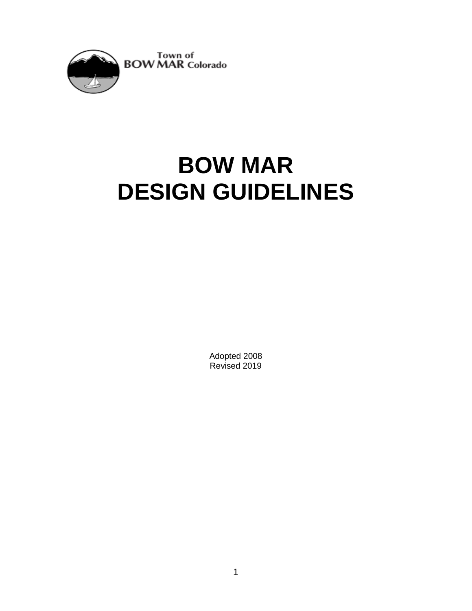

# **BOW MAR DESIGN GUIDELINES**

Adopted 2008 Revised 2019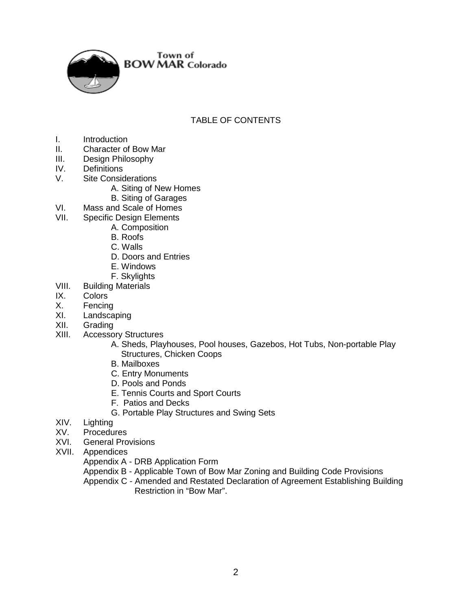

# TABLE OF CONTENTS

- I. Introduction<br>II. Character of
- II. Character of Bow Mar<br>III. Design Philosophy
- III. Design Philosophy<br>IV. Definitions
- IV. Definitions<br>V. Site Consid
- **Site Considerations** 
	- A. Siting of New Homes
	- B. Siting of Garages
- VI. Mass and Scale of Homes<br>VII. Specific Design Elements
- Specific Design Elements
	- A. Composition
	- B. Roofs
	- C. Walls
	- D. Doors and Entries
	- E. Windows
	- F. Skylights
- VIII. Building Materials
- IX. Colors<br>X. Fencino
- X. Fencing<br>XI. Landsca
- Landscaping
- XII. Grading
- XIII. Accessory Structures
	- A. Sheds, Playhouses, Pool houses, Gazebos, Hot Tubs, Non-portable Play Structures, Chicken Coops
	- B. Mailboxes
	- C. Entry Monuments
	- D. Pools and Ponds
	- E. Tennis Courts and Sport Courts
	- F. Patios and Decks
	- G. Portable Play Structures and Swing Sets
- XIV. Lighting<br>XV. Procedu
- XV. Procedures<br>XVI. General Pro
- **General Provisions**
- XVII. Appendices
	- Appendix A DRB Application Form
	- Appendix B Applicable Town of Bow Mar Zoning and Building Code Provisions
	- Appendix C Amended and Restated Declaration of Agreement Establishing Building Restriction in "Bow Mar".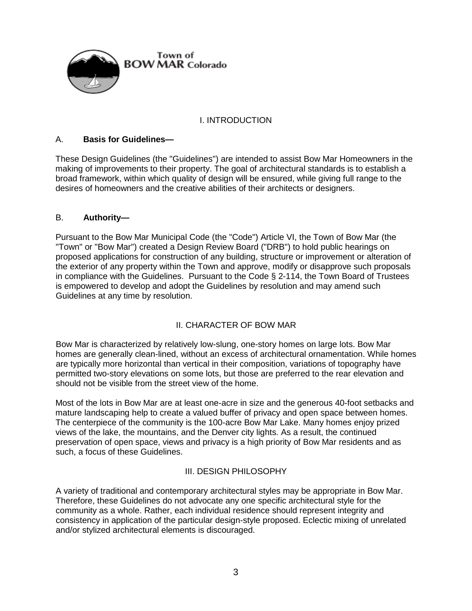

## I. INTRODUCTION

#### A. **Basis for Guidelines—**

These Design Guidelines (the "Guidelines") are intended to assist Bow Mar Homeowners in the making of improvements to their property. The goal of architectural standards is to establish a broad framework, within which quality of design will be ensured, while giving full range to the desires of homeowners and the creative abilities of their architects or designers.

#### B. **Authority—**

Pursuant to the Bow Mar Municipal Code (the "Code") Article VI, the Town of Bow Mar (the "Town" or "Bow Mar") created a Design Review Board ("DRB") to hold public hearings on proposed applications for construction of any building, structure or improvement or alteration of the exterior of any property within the Town and approve, modify or disapprove such proposals in compliance with the Guidelines. Pursuant to the Code § 2-114, the Town Board of Trustees is empowered to develop and adopt the Guidelines by resolution and may amend such Guidelines at any time by resolution.

### II. CHARACTER OF BOW MAR

Bow Mar is characterized by relatively low-slung, one-story homes on large lots. Bow Mar homes are generally clean-lined, without an excess of architectural ornamentation. While homes are typically more horizontal than vertical in their composition, variations of topography have permitted two-story elevations on some lots, but those are preferred to the rear elevation and should not be visible from the street view of the home.

Most of the lots in Bow Mar are at least one-acre in size and the generous 40-foot setbacks and mature landscaping help to create a valued buffer of privacy and open space between homes. The centerpiece of the community is the 100-acre Bow Mar Lake. Many homes enjoy prized views of the lake, the mountains, and the Denver city lights. As a result, the continued preservation of open space, views and privacy is a high priority of Bow Mar residents and as such, a focus of these Guidelines.

### III. DESIGN PHILOSOPHY

A variety of traditional and contemporary architectural styles may be appropriate in Bow Mar. Therefore, these Guidelines do not advocate any one specific architectural style for the community as a whole. Rather, each individual residence should represent integrity and consistency in application of the particular design-style proposed. Eclectic mixing of unrelated and/or stylized architectural elements is discouraged.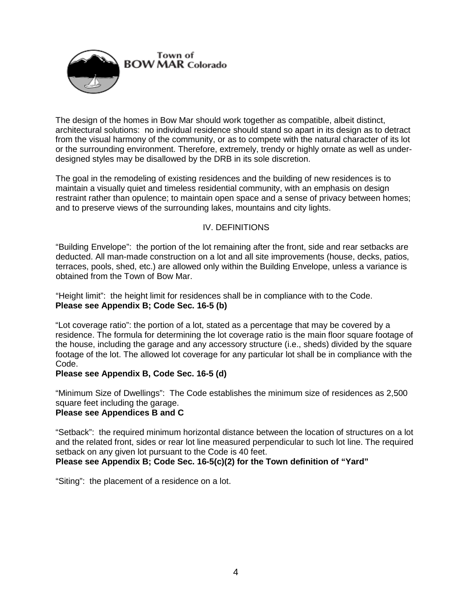

The design of the homes in Bow Mar should work together as compatible, albeit distinct, architectural solutions: no individual residence should stand so apart in its design as to detract from the visual harmony of the community, or as to compete with the natural character of its lot or the surrounding environment. Therefore, extremely, trendy or highly ornate as well as underdesigned styles may be disallowed by the DRB in its sole discretion.

The goal in the remodeling of existing residences and the building of new residences is to maintain a visually quiet and timeless residential community, with an emphasis on design restraint rather than opulence; to maintain open space and a sense of privacy between homes; and to preserve views of the surrounding lakes, mountains and city lights.

### IV. DEFINITIONS

"Building Envelope": the portion of the lot remaining after the front, side and rear setbacks are deducted. All man-made construction on a lot and all site improvements (house, decks, patios, terraces, pools, shed, etc.) are allowed only within the Building Envelope, unless a variance is obtained from the Town of Bow Mar.

"Height limit": the height limit for residences shall be in compliance with to the Code. **Please see Appendix B; Code Sec. 16-5 (b)**

"Lot coverage ratio": the portion of a lot, stated as a percentage that may be covered by a residence. The formula for determining the lot coverage ratio is the main floor square footage of the house, including the garage and any accessory structure (i.e., sheds) divided by the square footage of the lot. The allowed lot coverage for any particular lot shall be in compliance with the Code.

### **Please see Appendix B, Code Sec. 16-5 (d)**

"Minimum Size of Dwellings": The Code establishes the minimum size of residences as 2,500 square feet including the garage.

### **Please see Appendices B and C**

"Setback": the required minimum horizontal distance between the location of structures on a lot and the related front, sides or rear lot line measured perpendicular to such lot line. The required setback on any given lot pursuant to the Code is 40 feet.

### **Please see Appendix B; Code Sec. 16-5(c)(2) for the Town definition of "Yard"**

"Siting": the placement of a residence on a lot.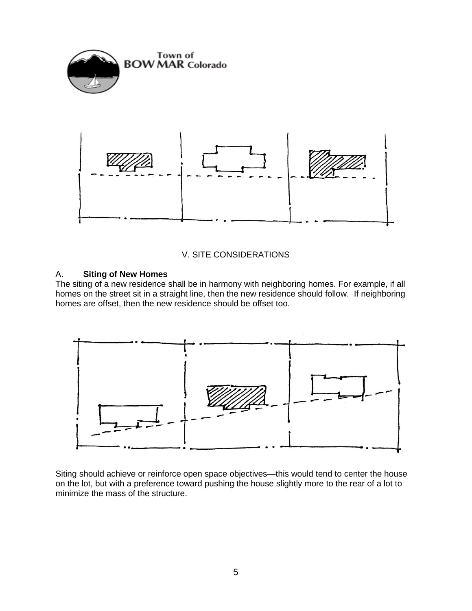

### V. SITE CONSIDERATIONS

#### A. **Siting of New Homes**

The siting of a new residence shall be in harmony with neighboring homes. For example, if all homes on the street sit in a straight line, then the new residence should follow. If neighboring homes are offset, then the new residence should be offset too.



Siting should achieve or reinforce open space objectives—this would tend to center the house on the lot, but with a preference toward pushing the house slightly more to the rear of a lot to minimize the mass of the structure.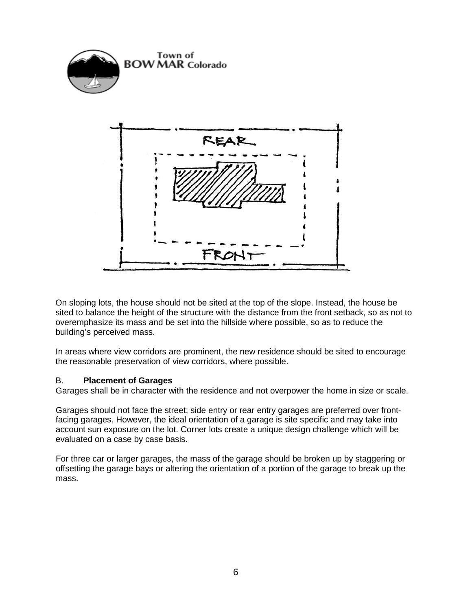

On sloping lots, the house should not be sited at the top of the slope. Instead, the house be sited to balance the height of the structure with the distance from the front setback, so as not to overemphasize its mass and be set into the hillside where possible, so as to reduce the building's perceived mass.

In areas where view corridors are prominent, the new residence should be sited to encourage the reasonable preservation of view corridors, where possible.

### B. **Placement of Garages**

Garages shall be in character with the residence and not overpower the home in size or scale.

Garages should not face the street; side entry or rear entry garages are preferred over frontfacing garages. However, the ideal orientation of a garage is site specific and may take into account sun exposure on the lot. Corner lots create a unique design challenge which will be evaluated on a case by case basis.

For three car or larger garages, the mass of the garage should be broken up by staggering or offsetting the garage bays or altering the orientation of a portion of the garage to break up the mass.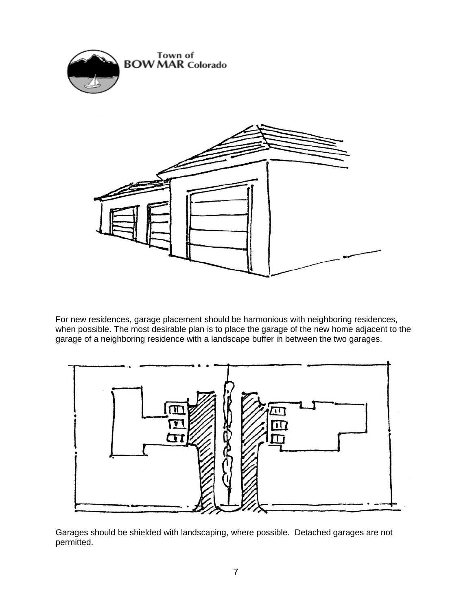



For new residences, garage placement should be harmonious with neighboring residences, when possible. The most desirable plan is to place the garage of the new home adjacent to the garage of a neighboring residence with a landscape buffer in between the two garages.



Garages should be shielded with landscaping, where possible. Detached garages are not permitted.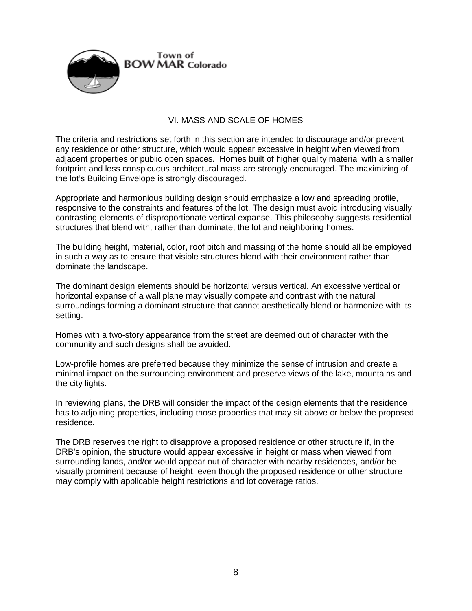

#### VI. MASS AND SCALE OF HOMES

The criteria and restrictions set forth in this section are intended to discourage and/or prevent any residence or other structure, which would appear excessive in height when viewed from adjacent properties or public open spaces. Homes built of higher quality material with a smaller footprint and less conspicuous architectural mass are strongly encouraged. The maximizing of the lot's Building Envelope is strongly discouraged.

Appropriate and harmonious building design should emphasize a low and spreading profile, responsive to the constraints and features of the lot. The design must avoid introducing visually contrasting elements of disproportionate vertical expanse. This philosophy suggests residential structures that blend with, rather than dominate, the lot and neighboring homes.

The building height, material, color, roof pitch and massing of the home should all be employed in such a way as to ensure that visible structures blend with their environment rather than dominate the landscape.

The dominant design elements should be horizontal versus vertical. An excessive vertical or horizontal expanse of a wall plane may visually compete and contrast with the natural surroundings forming a dominant structure that cannot aesthetically blend or harmonize with its setting.

Homes with a two-story appearance from the street are deemed out of character with the community and such designs shall be avoided.

Low-profile homes are preferred because they minimize the sense of intrusion and create a minimal impact on the surrounding environment and preserve views of the lake, mountains and the city lights.

In reviewing plans, the DRB will consider the impact of the design elements that the residence has to adjoining properties, including those properties that may sit above or below the proposed residence.

The DRB reserves the right to disapprove a proposed residence or other structure if, in the DRB's opinion, the structure would appear excessive in height or mass when viewed from surrounding lands, and/or would appear out of character with nearby residences, and/or be visually prominent because of height, even though the proposed residence or other structure may comply with applicable height restrictions and lot coverage ratios.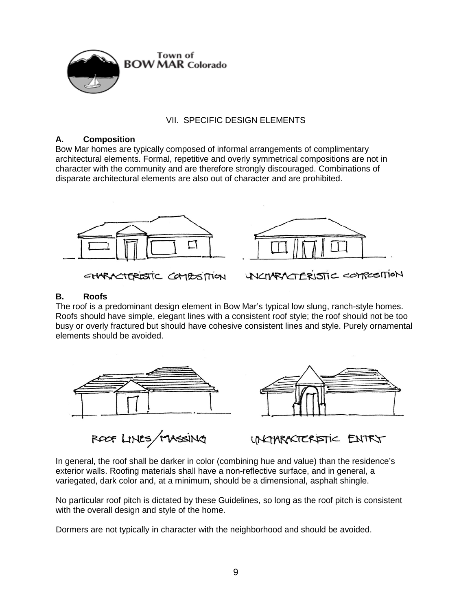

## VII. SPECIFIC DESIGN ELEMENTS

## **A. Composition**

Bow Mar homes are typically composed of informal arrangements of complimentary architectural elements. Formal, repetitive and overly symmetrical compositions are not in character with the community and are therefore strongly discouraged. Combinations of disparate architectural elements are also out of character and are prohibited.



### **B. Roofs**

The roof is a predominant design element in Bow Mar's typical low slung, ranch-style homes. Roofs should have simple, elegant lines with a consistent roof style; the roof should not be too busy or overly fractured but should have cohesive consistent lines and style. Purely ornamental elements should be avoided.







UNCHARACTERISTIC ENTRY

In general, the roof shall be darker in color (combining hue and value) than the residence's exterior walls. Roofing materials shall have a non-reflective surface, and in general, a variegated, dark color and, at a minimum, should be a dimensional, asphalt shingle.

No particular roof pitch is dictated by these Guidelines, so long as the roof pitch is consistent with the overall design and style of the home.

Dormers are not typically in character with the neighborhood and should be avoided.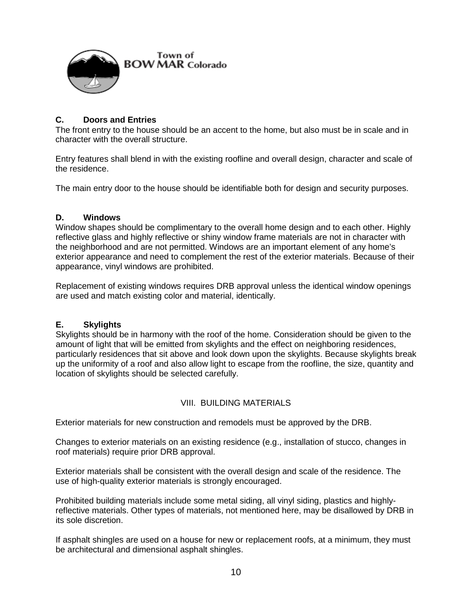

# **C. Doors and Entries**

The front entry to the house should be an accent to the home, but also must be in scale and in character with the overall structure.

Entry features shall blend in with the existing roofline and overall design, character and scale of the residence.

The main entry door to the house should be identifiable both for design and security purposes.

### **D. Windows**

Window shapes should be complimentary to the overall home design and to each other. Highly reflective glass and highly reflective or shiny window frame materials are not in character with the neighborhood and are not permitted. Windows are an important element of any home's exterior appearance and need to complement the rest of the exterior materials. Because of their appearance, vinyl windows are prohibited.

Replacement of existing windows requires DRB approval unless the identical window openings are used and match existing color and material, identically.

### **E. Skylights**

Skylights should be in harmony with the roof of the home. Consideration should be given to the amount of light that will be emitted from skylights and the effect on neighboring residences, particularly residences that sit above and look down upon the skylights. Because skylights break up the uniformity of a roof and also allow light to escape from the roofline, the size, quantity and location of skylights should be selected carefully.

### VIII. BUILDING MATERIALS

Exterior materials for new construction and remodels must be approved by the DRB.

Changes to exterior materials on an existing residence (e.g., installation of stucco, changes in roof materials) require prior DRB approval.

Exterior materials shall be consistent with the overall design and scale of the residence. The use of high-quality exterior materials is strongly encouraged.

Prohibited building materials include some metal siding, all vinyl siding, plastics and highlyreflective materials. Other types of materials, not mentioned here, may be disallowed by DRB in its sole discretion.

If asphalt shingles are used on a house for new or replacement roofs, at a minimum, they must be architectural and dimensional asphalt shingles.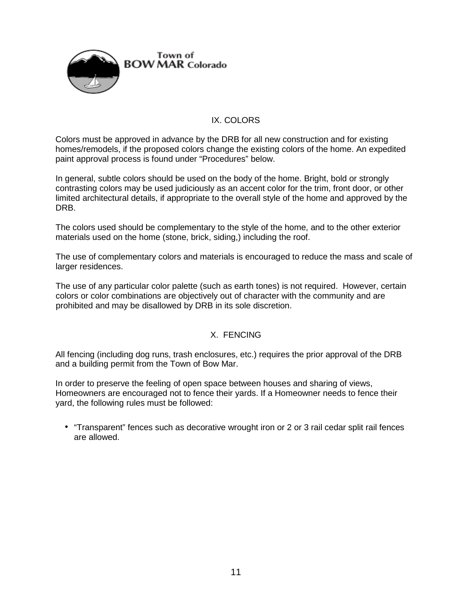

## IX. COLORS

Colors must be approved in advance by the DRB for all new construction and for existing homes/remodels, if the proposed colors change the existing colors of the home. An expedited paint approval process is found under "Procedures" below.

In general, subtle colors should be used on the body of the home. Bright, bold or strongly contrasting colors may be used judiciously as an accent color for the trim, front door, or other limited architectural details, if appropriate to the overall style of the home and approved by the DRB.

The colors used should be complementary to the style of the home, and to the other exterior materials used on the home (stone, brick, siding,) including the roof.

The use of complementary colors and materials is encouraged to reduce the mass and scale of larger residences.

The use of any particular color palette (such as earth tones) is not required. However, certain colors or color combinations are objectively out of character with the community and are prohibited and may be disallowed by DRB in its sole discretion.

### X. FENCING

All fencing (including dog runs, trash enclosures, etc.) requires the prior approval of the DRB and a building permit from the Town of Bow Mar.

In order to preserve the feeling of open space between houses and sharing of views, Homeowners are encouraged not to fence their yards. If a Homeowner needs to fence their yard, the following rules must be followed:

• "Transparent" fences such as decorative wrought iron or 2 or 3 rail cedar split rail fences are allowed.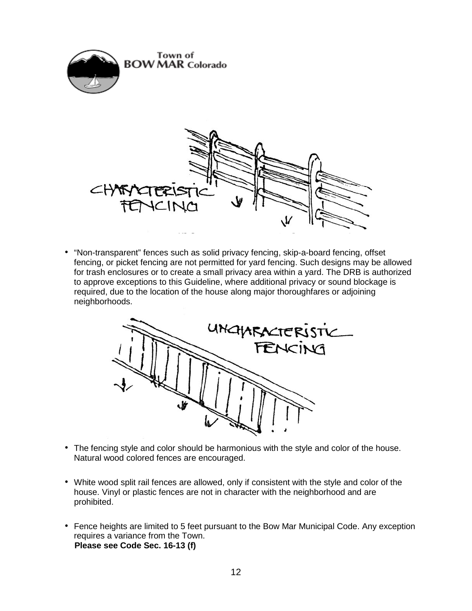



• "Non-transparent" fences such as solid privacy fencing, skip-a-board fencing, offset fencing, or picket fencing are not permitted for yard fencing. Such designs may be allowed for trash enclosures or to create a small privacy area within a yard. The DRB is authorized to approve exceptions to this Guideline, where additional privacy or sound blockage is required, due to the location of the house along major thoroughfares or adjoining neighborhoods.



- The fencing style and color should be harmonious with the style and color of the house. Natural wood colored fences are encouraged.
- White wood split rail fences are allowed, only if consistent with the style and color of the house. Vinyl or plastic fences are not in character with the neighborhood and are prohibited.
- Fence heights are limited to 5 feet pursuant to the Bow Mar Municipal Code. Any exception requires a variance from the Town. **Please see Code Sec. 16-13 (f)**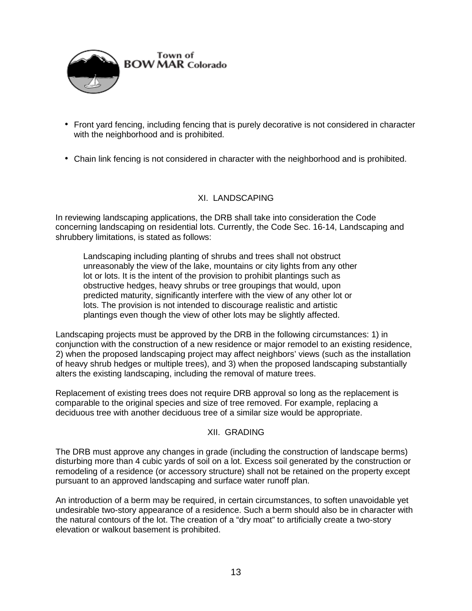

- Front yard fencing, including fencing that is purely decorative is not considered in character with the neighborhood and is prohibited.
- Chain link fencing is not considered in character with the neighborhood and is prohibited.

### XI. LANDSCAPING

In reviewing landscaping applications, the DRB shall take into consideration the Code concerning landscaping on residential lots. Currently, the Code Sec. 16-14, Landscaping and shrubbery limitations, is stated as follows:

Landscaping including planting of shrubs and trees shall not obstruct unreasonably the view of the lake, mountains or city lights from any other lot or lots. It is the intent of the provision to prohibit plantings such as obstructive hedges, heavy shrubs or tree groupings that would, upon predicted maturity, significantly interfere with the view of any other lot or lots. The provision is not intended to discourage realistic and artistic plantings even though the view of other lots may be slightly affected.

Landscaping projects must be approved by the DRB in the following circumstances: 1) in conjunction with the construction of a new residence or major remodel to an existing residence, 2) when the proposed landscaping project may affect neighbors' views (such as the installation of heavy shrub hedges or multiple trees), and 3) when the proposed landscaping substantially alters the existing landscaping, including the removal of mature trees.

Replacement of existing trees does not require DRB approval so long as the replacement is comparable to the original species and size of tree removed. For example, replacing a deciduous tree with another deciduous tree of a similar size would be appropriate.

### XII. GRADING

The DRB must approve any changes in grade (including the construction of landscape berms) disturbing more than 4 cubic yards of soil on a lot. Excess soil generated by the construction or remodeling of a residence (or accessory structure) shall not be retained on the property except pursuant to an approved landscaping and surface water runoff plan.

An introduction of a berm may be required, in certain circumstances, to soften unavoidable yet undesirable two-story appearance of a residence. Such a berm should also be in character with the natural contours of the lot. The creation of a "dry moat" to artificially create a two-story elevation or walkout basement is prohibited.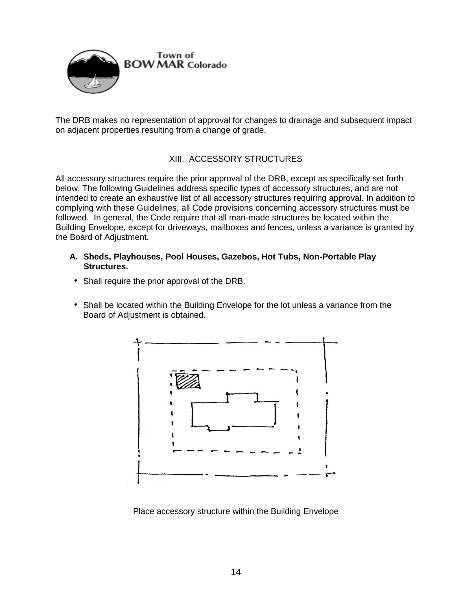

The DRB makes no representation of approval for changes to drainage and subsequent impact on adjacent properties resulting from a change of grade.

# XIII. ACCESSORY STRUCTURES

All accessory structures require the prior approval of the DRB, except as specifically set forth below. The following Guidelines address specific types of accessory structures, and are not intended to create an exhaustive list of all accessory structures requiring approval. In addition to complying with these Guidelines, all Code provisions concerning accessory structures must be followed. In general, the Code require that all man-made structures be located within the Building Envelope, except for driveways, mailboxes and fences, unless a variance is granted by the Board of Adjustment.

#### **A. Sheds, Playhouses, Pool Houses, Gazebos, Hot Tubs, Non-Portable Play Structures.**

- Shall require the prior approval of the DRB.
- Shall be located within the Building Envelope for the lot unless a variance from the Board of Adjustment is obtained.



Place accessory structure within the Building Envelope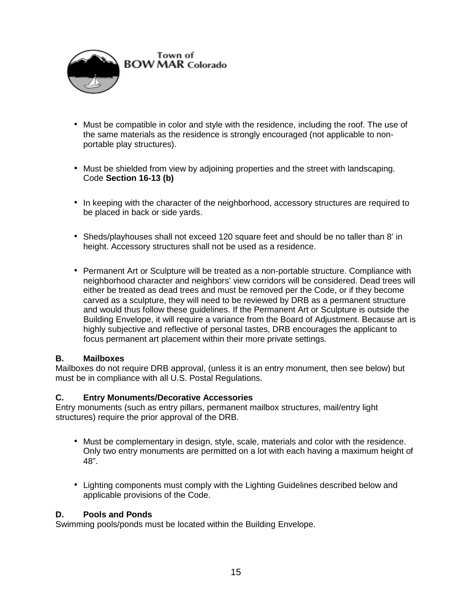

- Must be compatible in color and style with the residence, including the roof. The use of the same materials as the residence is strongly encouraged (not applicable to nonportable play structures).
- Must be shielded from view by adjoining properties and the street with landscaping. Code **Section 16-13 (b)**
- In keeping with the character of the neighborhood, accessory structures are required to be placed in back or side yards.
- Sheds/playhouses shall not exceed 120 square feet and should be no taller than 8' in height. Accessory structures shall not be used as a residence.
- Permanent Art or Sculpture will be treated as a non-portable structure. Compliance with neighborhood character and neighbors' view corridors will be considered. Dead trees will either be treated as dead trees and must be removed per the Code, or if they become carved as a sculpture, they will need to be reviewed by DRB as a permanent structure and would thus follow these guidelines. If the Permanent Art or Sculpture is outside the Building Envelope, it will require a variance from the Board of Adjustment. Because art is highly subjective and reflective of personal tastes, DRB encourages the applicant to focus permanent art placement within their more private settings.

### **B. Mailboxes**

Mailboxes do not require DRB approval, (unless it is an entry monument, then see below) but must be in compliance with all U.S. Postal Regulations.

#### **C. Entry Monuments/Decorative Accessories**

Entry monuments (such as entry pillars, permanent mailbox structures, mail/entry light structures) require the prior approval of the DRB.

- Must be complementary in design, style, scale, materials and color with the residence. Only two entry monuments are permitted on a lot with each having a maximum height of 48".
- Lighting components must comply with the Lighting Guidelines described below and applicable provisions of the Code.

### **D. Pools and Ponds**

Swimming pools/ponds must be located within the Building Envelope.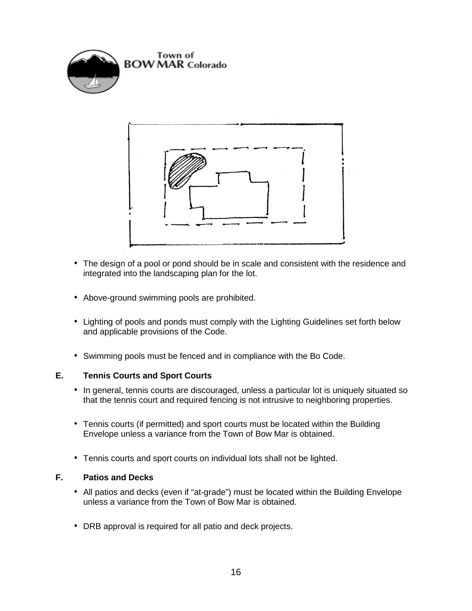



- The design of a pool or pond should be in scale and consistent with the residence and integrated into the landscaping plan for the lot.
- Above-ground swimming pools are prohibited.
- Lighting of pools and ponds must comply with the Lighting Guidelines set forth below and applicable provisions of the Code.
- Swimming pools must be fenced and in compliance with the Bo Code.

# **E. Tennis Courts and Sport Courts**

- In general, tennis courts are discouraged, unless a particular lot is uniquely situated so that the tennis court and required fencing is not intrusive to neighboring properties.
- Tennis courts (if permitted) and sport courts must be located within the Building Envelope unless a variance from the Town of Bow Mar is obtained.
- Tennis courts and sport courts on individual lots shall not be lighted.

#### **F. Patios and Decks**

- All patios and decks (even if "at-grade") must be located within the Building Envelope unless a variance from the Town of Bow Mar is obtained.
- DRB approval is required for all patio and deck projects.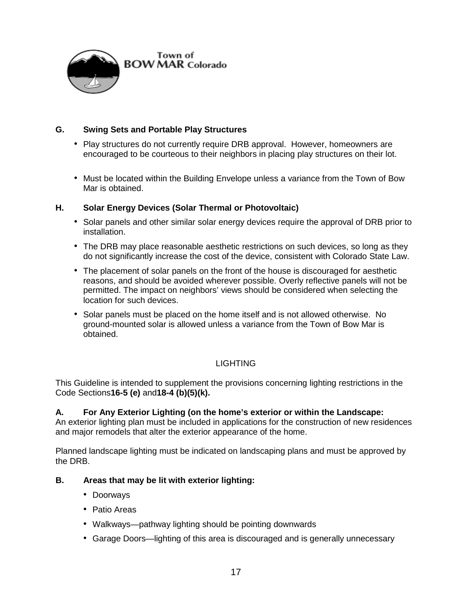

# **G. Swing Sets and Portable Play Structures**

- Play structures do not currently require DRB approval. However, homeowners are encouraged to be courteous to their neighbors in placing play structures on their lot.
- Must be located within the Building Envelope unless a variance from the Town of Bow Mar is obtained.

## **H. Solar Energy Devices (Solar Thermal or Photovoltaic)**

- Solar panels and other similar solar energy devices require the approval of DRB prior to installation.
- The DRB may place reasonable aesthetic restrictions on such devices, so long as they do not significantly increase the cost of the device, consistent with Colorado State Law.
- The placement of solar panels on the front of the house is discouraged for aesthetic reasons, and should be avoided wherever possible. Overly reflective panels will not be permitted. The impact on neighbors' views should be considered when selecting the location for such devices.
- Solar panels must be placed on the home itself and is not allowed otherwise. No ground-mounted solar is allowed unless a variance from the Town of Bow Mar is obtained.

### LIGHTING

This Guideline is intended to supplement the provisions concerning lighting restrictions in the Code Sections**16-5 (e)** and**18-4 (b)(5)(k).**

### **A. For Any Exterior Lighting (on the home's exterior or within the Landscape:**

An exterior lighting plan must be included in applications for the construction of new residences and major remodels that alter the exterior appearance of the home.

Planned landscape lighting must be indicated on landscaping plans and must be approved by the DRB.

## **B. Areas that may be lit with exterior lighting:**

- Doorways
- Patio Areas
- Walkways—pathway lighting should be pointing downwards
- Garage Doors—lighting of this area is discouraged and is generally unnecessary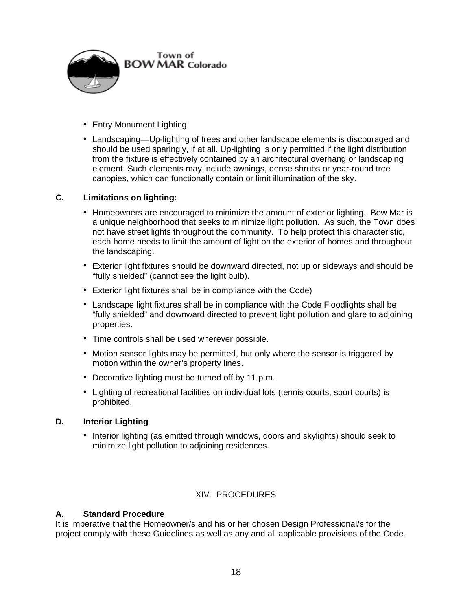

- Entry Monument Lighting
- Landscaping—Up-lighting of trees and other landscape elements is discouraged and should be used sparingly, if at all. Up-lighting is only permitted if the light distribution from the fixture is effectively contained by an architectural overhang or landscaping element. Such elements may include awnings, dense shrubs or year-round tree canopies, which can functionally contain or limit illumination of the sky.

### **C. Limitations on lighting:**

- Homeowners are encouraged to minimize the amount of exterior lighting. Bow Mar is a unique neighborhood that seeks to minimize light pollution. As such, the Town does not have street lights throughout the community. To help protect this characteristic, each home needs to limit the amount of light on the exterior of homes and throughout the landscaping.
- Exterior light fixtures should be downward directed, not up or sideways and should be "fully shielded" (cannot see the light bulb).
- Exterior light fixtures shall be in compliance with the Code)
- Landscape light fixtures shall be in compliance with the Code Floodlights shall be "fully shielded" and downward directed to prevent light pollution and glare to adjoining properties.
- Time controls shall be used wherever possible.
- Motion sensor lights may be permitted, but only where the sensor is triggered by motion within the owner's property lines.
- Decorative lighting must be turned off by 11 p.m.
- Lighting of recreational facilities on individual lots (tennis courts, sport courts) is prohibited.

#### **D. Interior Lighting**

• Interior lighting (as emitted through windows, doors and skylights) should seek to minimize light pollution to adjoining residences.

## XIV. PROCEDURES

#### **A. Standard Procedure**

It is imperative that the Homeowner/s and his or her chosen Design Professional/s for the project comply with these Guidelines as well as any and all applicable provisions of the Code.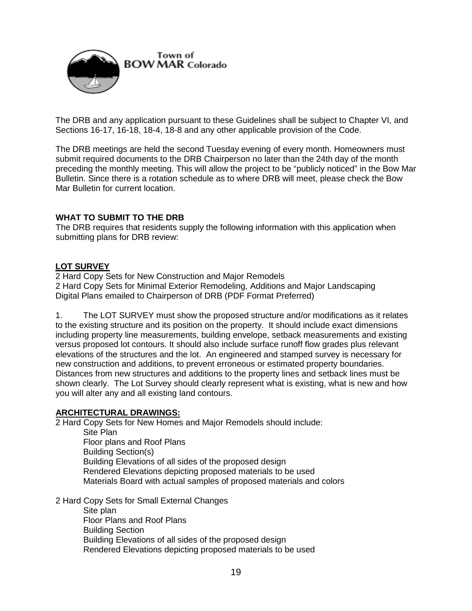

The DRB and any application pursuant to these Guidelines shall be subject to Chapter VI, and Sections 16-17, 16-18, 18-4, 18-8 and any other applicable provision of the Code.

The DRB meetings are held the second Tuesday evening of every month. Homeowners must submit required documents to the DRB Chairperson no later than the 24th day of the month preceding the monthly meeting. This will allow the project to be "publicly noticed" in the Bow Mar Bulletin. Since there is a rotation schedule as to where DRB will meet, please check the Bow Mar Bulletin for current location.

### **WHAT TO SUBMIT TO THE DRB**

The DRB requires that residents supply the following information with this application when submitting plans for DRB review:

## **LOT SURVEY**

2 Hard Copy Sets for New Construction and Major Remodels 2 Hard Copy Sets for Minimal Exterior Remodeling, Additions and Major Landscaping Digital Plans emailed to Chairperson of DRB (PDF Format Preferred)

1. The LOT SURVEY must show the proposed structure and/or modifications as it relates to the existing structure and its position on the property. It should include exact dimensions including property line measurements, building envelope, setback measurements and existing versus proposed lot contours. It should also include surface runoff flow grades plus relevant elevations of the structures and the lot. An engineered and stamped survey is necessary for new construction and additions, to prevent erroneous or estimated property boundaries. Distances from new structures and additions to the property lines and setback lines must be shown clearly. The Lot Survey should clearly represent what is existing, what is new and how you will alter any and all existing land contours.

### **ARCHITECTURAL DRAWINGS:**

2 Hard Copy Sets for New Homes and Major Remodels should include: Site Plan

Floor plans and Roof Plans Building Section(s) Building Elevations of all sides of the proposed design Rendered Elevations depicting proposed materials to be used Materials Board with actual samples of proposed materials and colors

2 Hard Copy Sets for Small External Changes Site plan Floor Plans and Roof Plans Building Section Building Elevations of all sides of the proposed design Rendered Elevations depicting proposed materials to be used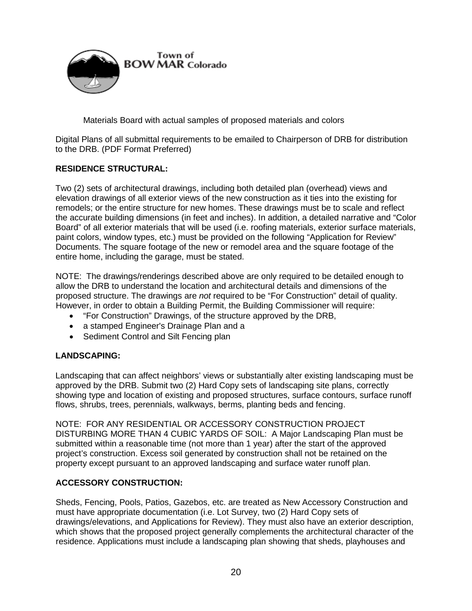

Materials Board with actual samples of proposed materials and colors

Digital Plans of all submittal requirements to be emailed to Chairperson of DRB for distribution to the DRB. (PDF Format Preferred)

### **RESIDENCE STRUCTURAL:**

Two (2) sets of architectural drawings, including both detailed plan (overhead) views and elevation drawings of all exterior views of the new construction as it ties into the existing for remodels; or the entire structure for new homes. These drawings must be to scale and reflect the accurate building dimensions (in feet and inches). In addition, a detailed narrative and "Color Board" of all exterior materials that will be used (i.e. roofing materials, exterior surface materials, paint colors, window types, etc.) must be provided on the following "Application for Review" Documents. The square footage of the new or remodel area and the square footage of the entire home, including the garage, must be stated.

NOTE: The drawings/renderings described above are only required to be detailed enough to allow the DRB to understand the location and architectural details and dimensions of the proposed structure. The drawings are *not* required to be "For Construction" detail of quality. However, in order to obtain a Building Permit, the Building Commissioner will require:

- "For Construction" Drawings, of the structure approved by the DRB,
- a stamped Engineer's Drainage Plan and a
- Sediment Control and Silt Fencing plan

### **LANDSCAPING:**

Landscaping that can affect neighbors' views or substantially alter existing landscaping must be approved by the DRB. Submit two (2) Hard Copy sets of landscaping site plans, correctly showing type and location of existing and proposed structures, surface contours, surface runoff flows, shrubs, trees, perennials, walkways, berms, planting beds and fencing.

NOTE: FOR ANY RESIDENTIAL OR ACCESSORY CONSTRUCTION PROJECT DISTURBING MORE THAN 4 CUBIC YARDS OF SOIL: A Major Landscaping Plan must be submitted within a reasonable time (not more than 1 year) after the start of the approved project's construction. Excess soil generated by construction shall not be retained on the property except pursuant to an approved landscaping and surface water runoff plan.

### **ACCESSORY CONSTRUCTION:**

Sheds, Fencing, Pools, Patios, Gazebos, etc. are treated as New Accessory Construction and must have appropriate documentation (i.e. Lot Survey, two (2) Hard Copy sets of drawings/elevations, and Applications for Review). They must also have an exterior description, which shows that the proposed project generally complements the architectural character of the residence. Applications must include a landscaping plan showing that sheds, playhouses and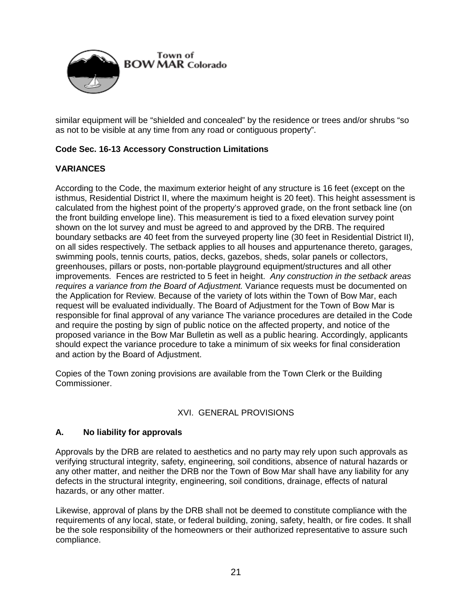

similar equipment will be "shielded and concealed" by the residence or trees and/or shrubs "so as not to be visible at any time from any road or contiguous property".

## **Code Sec. 16-13 Accessory Construction Limitations**

### **VARIANCES**

According to the Code, the maximum exterior height of any structure is 16 feet (except on the isthmus, Residential District II, where the maximum height is 20 feet). This height assessment is calculated from the highest point of the property's approved grade, on the front setback line (on the front building envelope line). This measurement is tied to a fixed elevation survey point shown on the lot survey and must be agreed to and approved by the DRB. The required boundary setbacks are 40 feet from the surveyed property line (30 feet in Residential District II), on all sides respectively. The setback applies to all houses and appurtenance thereto, garages, swimming pools, tennis courts, patios, decks, gazebos, sheds, solar panels or collectors, greenhouses, pillars or posts, non-portable playground equipment/structures and all other improvements. Fences are restricted to 5 feet in height. *Any construction in the setback areas requires a variance from the Board of Adjustment.* Variance requests must be documented on the Application for Review. Because of the variety of lots within the Town of Bow Mar, each request will be evaluated individually. The Board of Adjustment for the Town of Bow Mar is responsible for final approval of any variance The variance procedures are detailed in the Code and require the posting by sign of public notice on the affected property, and notice of the proposed variance in the Bow Mar Bulletin as well as a public hearing. Accordingly, applicants should expect the variance procedure to take a minimum of six weeks for final consideration and action by the Board of Adjustment.

Copies of the Town zoning provisions are available from the Town Clerk or the Building Commissioner.

### XVI. GENERAL PROVISIONS

### **A. No liability for approvals**

Approvals by the DRB are related to aesthetics and no party may rely upon such approvals as verifying structural integrity, safety, engineering, soil conditions, absence of natural hazards or any other matter, and neither the DRB nor the Town of Bow Mar shall have any liability for any defects in the structural integrity, engineering, soil conditions, drainage, effects of natural hazards, or any other matter.

Likewise, approval of plans by the DRB shall not be deemed to constitute compliance with the requirements of any local, state, or federal building, zoning, safety, health, or fire codes. It shall be the sole responsibility of the homeowners or their authorized representative to assure such compliance.